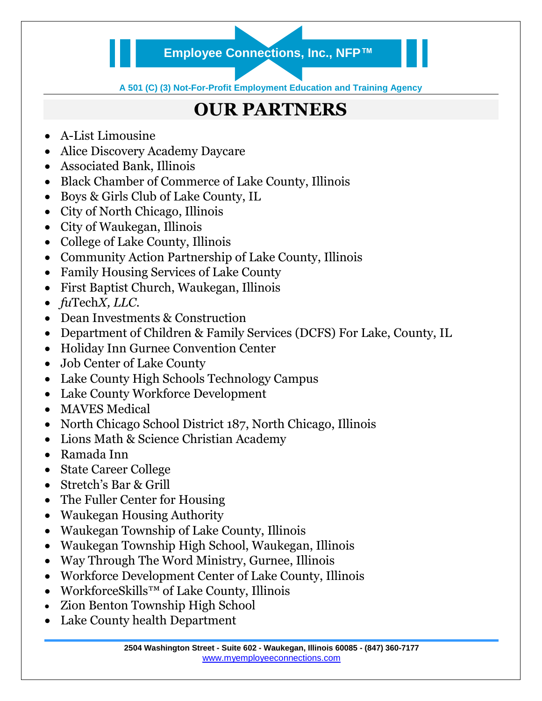## **Employee Connections, Inc., NFP™**

**A 501 (C) (3) Not-For-Profit Employment Education and Training Agency**

## **OUR PARTNERS**

- A-List Limousine
- Alice Discovery Academy Daycare
- Associated Bank, Illinois
- Black Chamber of Commerce of Lake County, Illinois
- Boys & Girls Club of Lake County, IL
- City of North Chicago, Illinois
- City of Waukegan, Illinois
- College of Lake County, Illinois
- Community Action Partnership of Lake County, Illinois
- Family Housing Services of Lake County
- First Baptist Church, Waukegan, Illinois
- *fu*Tech*X, LLC.*
- Dean Investments & Construction
- Department of Children & Family Services (DCFS) For Lake, County, IL
- Holiday Inn Gurnee Convention Center
- Job Center of Lake County
- Lake County High Schools Technology Campus
- Lake County Workforce Development
- MAVES Medical
- North Chicago School District 187, North Chicago, Illinois
- Lions Math & Science Christian Academy
- Ramada Inn
- State Career College
- Stretch's Bar & Grill
- The Fuller Center for Housing
- Waukegan Housing Authority
- Waukegan Township of Lake County, Illinois
- Waukegan Township High School, Waukegan, Illinois
- Way Through The Word Ministry, Gurnee, Illinois
- Workforce Development Center of Lake County, Illinois
- WorkforceSkills™ of Lake County, Illinois
- Zion Benton Township High School
- Lake County health Department